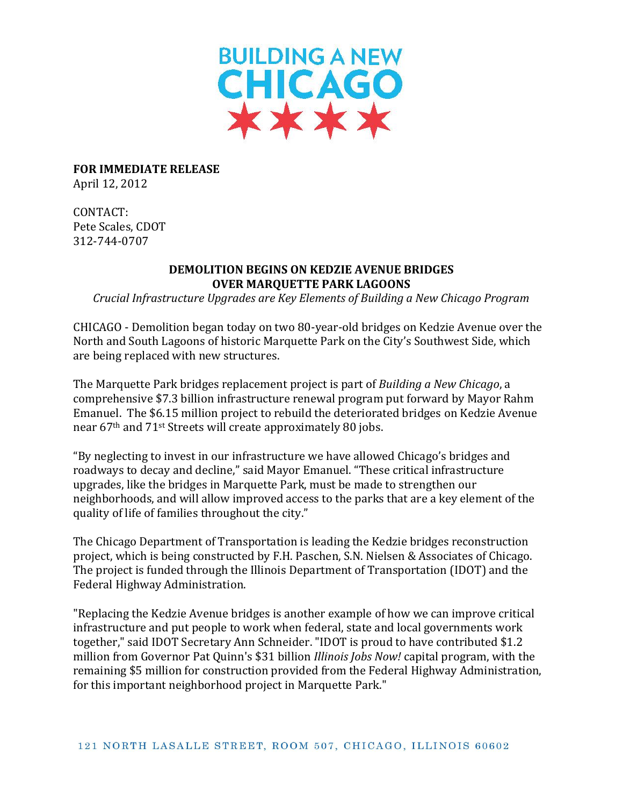

**FOR IMMEDIATE RELEASE** April 12, 2012

CONTACT: Pete Scales, CDOT 312-744-0707

## **DEMOLITION BEGINS ON KEDZIE AVENUE BRIDGES OVER MARQUETTE PARK LAGOONS**

*Crucial Infrastructure Upgrades are Key Elements of Building a New Chicago Program*

CHICAGO - Demolition began today on two 80-year-old bridges on Kedzie Avenue over the North and South Lagoons of historic Marquette Park on the City's Southwest Side, which are being replaced with new structures.

The Marquette Park bridges replacement project is part of *Building a New Chicago*, a comprehensive \$7.3 billion infrastructure renewal program put forward by Mayor Rahm Emanuel. The \$6.15 million project to rebuild the deteriorated bridges on Kedzie Avenue near 67th and 71st Streets will create approximately 80 jobs.

"By neglecting to invest in our infrastructure we have allowed Chicago's bridges and roadways to decay and decline," said Mayor Emanuel. "These critical infrastructure upgrades, like the bridges in Marquette Park, must be made to strengthen our neighborhoods, and will allow improved access to the parks that are a key element of the quality of life of families throughout the city."

The Chicago Department of Transportation is leading the Kedzie bridges reconstruction project, which is being constructed by F.H. Paschen, S.N. Nielsen & Associates of Chicago. The project is funded through the Illinois Department of Transportation (IDOT) and the Federal Highway Administration.

"Replacing the Kedzie Avenue bridges is another example of how we can improve critical infrastructure and put people to work when federal, state and local governments work together," said IDOT Secretary Ann Schneider. "IDOT is proud to have contributed \$1.2 million from Governor Pat Quinn's \$31 billion *Illinois Jobs Now!* capital program, with the remaining \$5 million for construction provided from the Federal Highway Administration, for this important neighborhood project in Marquette Park."